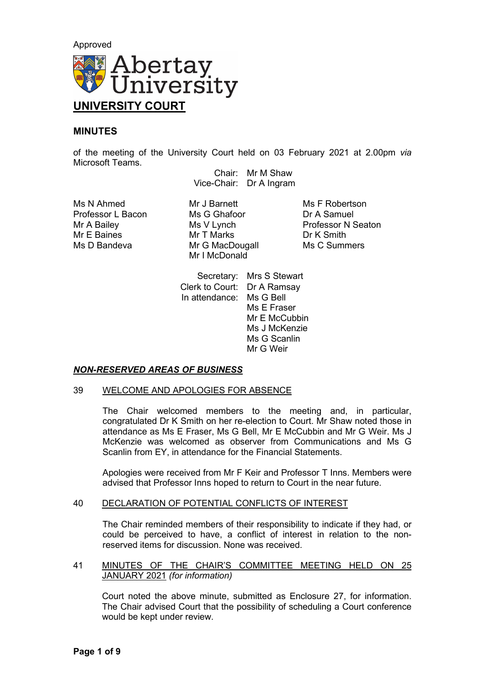

# **MINUTES**

of the meeting of the University Court held on 03 February 2021 at 2.00pm *via* Microsoft Teams.

Chair: Mr M Shaw Vice-Chair: Dr A Ingram

Ms N Ahmed Mr J Barnett Ms R Robertson<br>Professor L Bacon Ms G Ghafoor Dr A Samuel Professor L Bacon Ms G Ghafod<br>Mr A Bailey Ms V Lynch Mr E Baines Mr T Marks Dr K Smith

Mr G MacDougall Mr I McDonald

**Professor N Seaton** 

Secretary: Mrs S Stewart Clerk to Court: Dr A Ramsay In attendance: Ms G Bell Ms E Fraser Mr E McCubbin Ms J McKenzie Ms G Scanlin Mr G Weir

# *NON-RESERVED AREAS OF BUSINESS*

## 39 WELCOME AND APOLOGIES FOR ABSENCE

The Chair welcomed members to the meeting and, in particular, congratulated Dr K Smith on her re-election to Court. Mr Shaw noted those in attendance as Ms E Fraser, Ms G Bell, Mr E McCubbin and Mr G Weir. Ms J McKenzie was welcomed as observer from Communications and Ms G Scanlin from EY, in attendance for the Financial Statements.

Apologies were received from Mr F Keir and Professor T Inns. Members were advised that Professor Inns hoped to return to Court in the near future.

## 40 DECLARATION OF POTENTIAL CONFLICTS OF INTEREST

The Chair reminded members of their responsibility to indicate if they had, or could be perceived to have, a conflict of interest in relation to the nonreserved items for discussion. None was received.

# 41 MINUTES OF THE CHAIR'S COMMITTEE MEETING HELD ON 25 JANUARY 2021 *(for information)*

Court noted the above minute, submitted as Enclosure 27, for information. The Chair advised Court that the possibility of scheduling a Court conference would be kept under review.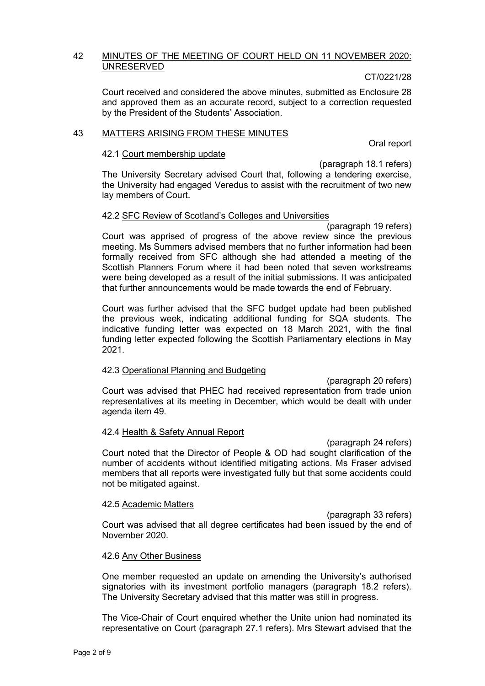## 42 MINUTES OF THE MEETING OF COURT HELD ON 11 NOVEMBER 2020: UNRESERVED

## CT/0221/28

Court received and considered the above minutes, submitted as Enclosure 28 and approved them as an accurate record, subject to a correction requested by the President of the Students' Association.

## 43 MATTERS ARISING FROM THESE MINUTES

Oral report

# 42.1 Court membership update

(paragraph 18.1 refers)

The University Secretary advised Court that, following a tendering exercise, the University had engaged Veredus to assist with the recruitment of two new lay members of Court.

## 42.2 SFC Review of Scotland's Colleges and Universities

(paragraph 19 refers) Court was apprised of progress of the above review since the previous meeting. Ms Summers advised members that no further information had been formally received from SFC although she had attended a meeting of the Scottish Planners Forum where it had been noted that seven workstreams were being developed as a result of the initial submissions. It was anticipated that further announcements would be made towards the end of February.

Court was further advised that the SFC budget update had been published the previous week, indicating additional funding for SQA students. The indicative funding letter was expected on 18 March 2021, with the final funding letter expected following the Scottish Parliamentary elections in May 2021.

## 42.3 Operational Planning and Budgeting

(paragraph 20 refers) Court was advised that PHEC had received representation from trade union representatives at its meeting in December, which would be dealt with under agenda item 49.

## 42.4 Health & Safety Annual Report

(paragraph 24 refers) Court noted that the Director of People & OD had sought clarification of the number of accidents without identified mitigating actions. Ms Fraser advised members that all reports were investigated fully but that some accidents could not be mitigated against.

## 42.5 Academic Matters

(paragraph 33 refers) Court was advised that all degree certificates had been issued by the end of November 2020.

# 42.6 Any Other Business

One member requested an update on amending the University's authorised signatories with its investment portfolio managers (paragraph 18.2 refers). The University Secretary advised that this matter was still in progress.

The Vice-Chair of Court enquired whether the Unite union had nominated its representative on Court (paragraph 27.1 refers). Mrs Stewart advised that the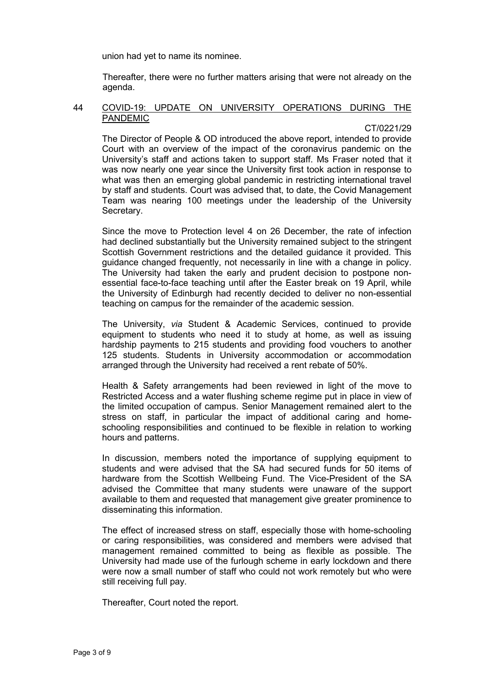union had yet to name its nominee.

Thereafter, there were no further matters arising that were not already on the agenda.

#### 44 COVID-19: UPDATE ON UNIVERSITY OPERATIONS DURING THE PANDEMIC

## CT/0221/29

The Director of People & OD introduced the above report, intended to provide Court with an overview of the impact of the coronavirus pandemic on the University's staff and actions taken to support staff. Ms Fraser noted that it was now nearly one year since the University first took action in response to what was then an emerging global pandemic in restricting international travel by staff and students. Court was advised that, to date, the Covid Management Team was nearing 100 meetings under the leadership of the University Secretary.

Since the move to Protection level 4 on 26 December, the rate of infection had declined substantially but the University remained subject to the stringent Scottish Government restrictions and the detailed guidance it provided. This guidance changed frequently, not necessarily in line with a change in policy. The University had taken the early and prudent decision to postpone nonessential face-to-face teaching until after the Easter break on 19 April, while the University of Edinburgh had recently decided to deliver no non-essential teaching on campus for the remainder of the academic session.

The University, *via* Student & Academic Services, continued to provide equipment to students who need it to study at home, as well as issuing hardship payments to 215 students and providing food vouchers to another 125 students. Students in University accommodation or accommodation arranged through the University had received a rent rebate of 50%.

Health & Safety arrangements had been reviewed in light of the move to Restricted Access and a water flushing scheme regime put in place in view of the limited occupation of campus. Senior Management remained alert to the stress on staff, in particular the impact of additional caring and homeschooling responsibilities and continued to be flexible in relation to working hours and patterns.

In discussion, members noted the importance of supplying equipment to students and were advised that the SA had secured funds for 50 items of hardware from the Scottish Wellbeing Fund. The Vice-President of the SA advised the Committee that many students were unaware of the support available to them and requested that management give greater prominence to disseminating this information.

The effect of increased stress on staff, especially those with home-schooling or caring responsibilities, was considered and members were advised that management remained committed to being as flexible as possible. The University had made use of the furlough scheme in early lockdown and there were now a small number of staff who could not work remotely but who were still receiving full pay.

Thereafter, Court noted the report.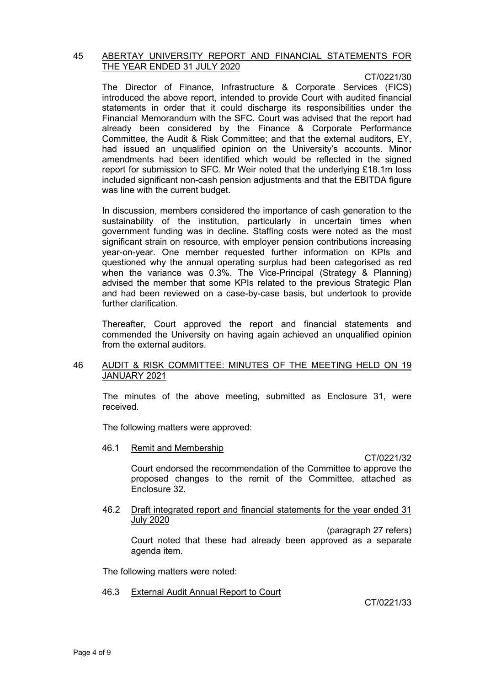#### 45 ABERTAY UNIVERSITY REPORT AND FINANCIAL STATEMENTS FOR THE YEAR ENDED 31 JULY 2020

CT/0221/30

The Director of Finance, Infrastructure & Corporate Services (FICS) introduced the above report, intended to provide Court with audited financial statements in order that it could discharge its responsibilities under the Financial Memorandum with the SFC. Court was advised that the report had already been considered by the Finance & Corporate Performance Committee, the Audit & Risk Committee; and that the external auditors, EY, had issued an unqualified opinion on the University's accounts. Minor amendments had been identified which would be reflected in the signed report for submission to SFC. Mr Weir noted that the underlying £18.1m loss included significant non-cash pension adjustments and that the EBITDA figure was line with the current budget.

In discussion, members considered the importance of cash generation to the sustainability of the institution, particularly in uncertain times when government funding was in decline. Staffing costs were noted as the most significant strain on resource, with employer pension contributions increasing year-on-year. One member requested further information on KPIs and questioned why the annual operating surplus had been categorised as red when the variance was 0.3%. The Vice-Principal (Strategy & Planning) advised the member that some KPIs related to the previous Strategic Plan and had been reviewed on a case-by-case basis, but undertook to provide further clarification.

Thereafter, Court approved the report and financial statements and commended the University on having again achieved an unqualified opinion from the external auditors.

# 46 AUDIT & RISK COMMITTEE: MINUTES OF THE MEETING HELD ON 19 JANUARY 2021

The minutes of the above meeting, submitted as Enclosure 31, were received.

The following matters were approved:

46.1 Remit and Membership

CT/0221/32

Court endorsed the recommendation of the Committee to approve the proposed changes to the remit of the Committee, attached as Enclosure 32.

#### 46.2 Draft integrated report and financial statements for the year ended 31 July 2020

(paragraph 27 refers) Court noted that these had already been approved as a separate agenda item.

The following matters were noted:

46.3 External Audit Annual Report to Court

CT/0221/33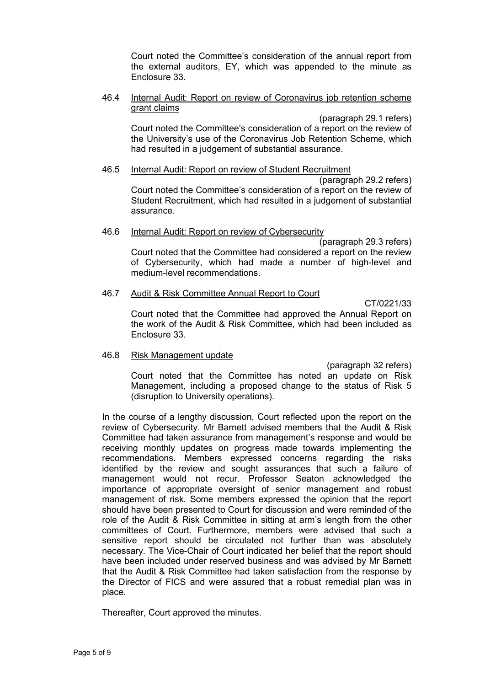Court noted the Committee's consideration of the annual report from the external auditors, EY, which was appended to the minute as Enclosure 33.

## 46.4 Internal Audit: Report on review of Coronavirus job retention scheme grant claims

(paragraph 29.1 refers)

Court noted the Committee's consideration of a report on the review of the University's use of the Coronavirus Job Retention Scheme, which had resulted in a judgement of substantial assurance.

## 46.5 Internal Audit: Report on review of Student Recruitment

(paragraph 29.2 refers) Court noted the Committee's consideration of a report on the review of Student Recruitment, which had resulted in a judgement of substantial assurance.

## 46.6 Internal Audit: Report on review of Cybersecurity

(paragraph 29.3 refers) Court noted that the Committee had considered a report on the review of Cybersecurity, which had made a number of high-level and medium-level recommendations.

## 46.7 Audit & Risk Committee Annual Report to Court

CT/0221/33

Court noted that the Committee had approved the Annual Report on the work of the Audit & Risk Committee, which had been included as Enclosure 33.

## 46.8 Risk Management update

(paragraph 32 refers)

Court noted that the Committee has noted an update on Risk Management, including a proposed change to the status of Risk 5 (disruption to University operations).

In the course of a lengthy discussion, Court reflected upon the report on the review of Cybersecurity. Mr Barnett advised members that the Audit & Risk Committee had taken assurance from management's response and would be receiving monthly updates on progress made towards implementing the recommendations. Members expressed concerns regarding the risks identified by the review and sought assurances that such a failure of management would not recur. Professor Seaton acknowledged the importance of appropriate oversight of senior management and robust management of risk. Some members expressed the opinion that the report should have been presented to Court for discussion and were reminded of the role of the Audit & Risk Committee in sitting at arm's length from the other committees of Court. Furthermore, members were advised that such a sensitive report should be circulated not further than was absolutely necessary. The Vice-Chair of Court indicated her belief that the report should have been included under reserved business and was advised by Mr Barnett that the Audit & Risk Committee had taken satisfaction from the response by the Director of FICS and were assured that a robust remedial plan was in place.

Thereafter, Court approved the minutes.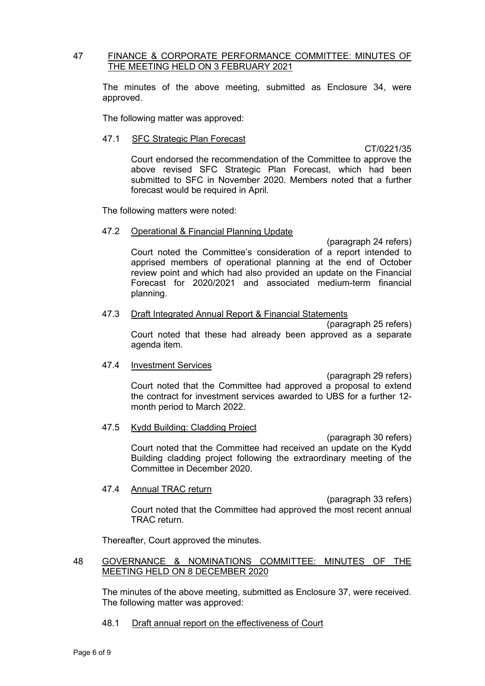## 47 FINANCE & CORPORATE PERFORMANCE COMMITTEE: MINUTES OF THE MEETING HELD ON 3 FEBRUARY 2021

The minutes of the above meeting, submitted as Enclosure 34, were approved.

The following matter was approved:

## 47.1 SFC Strategic Plan Forecast

#### CT/0221/35

Court endorsed the recommendation of the Committee to approve the above revised SFC Strategic Plan Forecast, which had been submitted to SFC in November 2020. Members noted that a further forecast would be required in April.

The following matters were noted:

#### 47.2 Operational & Financial Planning Update

(paragraph 24 refers) Court noted the Committee's consideration of a report intended to apprised members of operational planning at the end of October review point and which had also provided an update on the Financial Forecast for 2020/2021 and associated medium-term financial planning.

#### 47.3 Draft Integrated Annual Report & Financial Statements

(paragraph 25 refers) Court noted that these had already been approved as a separate agenda item.

## 47.4 Investment Services

(paragraph 29 refers) Court noted that the Committee had approved a proposal to extend the contract for investment services awarded to UBS for a further 12 month period to March 2022.

## 47.5 Kydd Building: Cladding Project

(paragraph 30 refers) Court noted that the Committee had received an update on the Kydd Building cladding project following the extraordinary meeting of the Committee in December 2020.

## 47.4 Annual TRAC return

(paragraph 33 refers) Court noted that the Committee had approved the most recent annual TRAC return.

Thereafter, Court approved the minutes.

# 48 GOVERNANCE & NOMINATIONS COMMITTEE: MINUTES OF THE MEETING HELD ON 8 DECEMBER 2020

The minutes of the above meeting, submitted as Enclosure 37, were received. The following matter was approved:

48.1 Draft annual report on the effectiveness of Court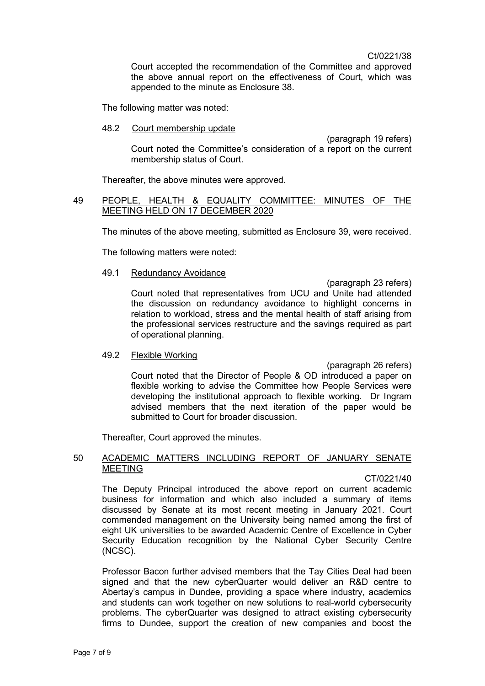Ct/0221/38

Court accepted the recommendation of the Committee and approved the above annual report on the effectiveness of Court, which was appended to the minute as Enclosure 38.

The following matter was noted:

48.2 Court membership update

(paragraph 19 refers) Court noted the Committee's consideration of a report on the current membership status of Court.

Thereafter, the above minutes were approved.

## 49 PEOPLE, HEALTH & EQUALITY COMMITTEE: MINUTES OF THE MEETING HELD ON 17 DECEMBER 2020

The minutes of the above meeting, submitted as Enclosure 39, were received.

The following matters were noted:

#### 49.1 Redundancy Avoidance

(paragraph 23 refers) Court noted that representatives from UCU and Unite had attended the discussion on redundancy avoidance to highlight concerns in relation to workload, stress and the mental health of staff arising from the professional services restructure and the savings required as part of operational planning.

## 49.2 Flexible Working

(paragraph 26 refers) Court noted that the Director of People & OD introduced a paper on flexible working to advise the Committee how People Services were developing the institutional approach to flexible working. Dr Ingram advised members that the next iteration of the paper would be submitted to Court for broader discussion.

Thereafter, Court approved the minutes.

## 50 ACADEMIC MATTERS INCLUDING REPORT OF JANUARY SENATE MEETING

#### CT/0221/40

The Deputy Principal introduced the above report on current academic business for information and which also included a summary of items discussed by Senate at its most recent meeting in January 2021. Court commended management on the University being named among the first of eight UK universities to be awarded Academic Centre of Excellence in Cyber Security Education recognition by the National Cyber Security Centre (NCSC).

Professor Bacon further advised members that the Tay Cities Deal had been signed and that the new cyberQuarter would deliver an R&D centre to Abertay's campus in Dundee, providing a space where industry, academics and students can work together on new solutions to real-world cybersecurity problems. The cyberQuarter was designed to attract existing cybersecurity firms to Dundee, support the creation of new companies and boost the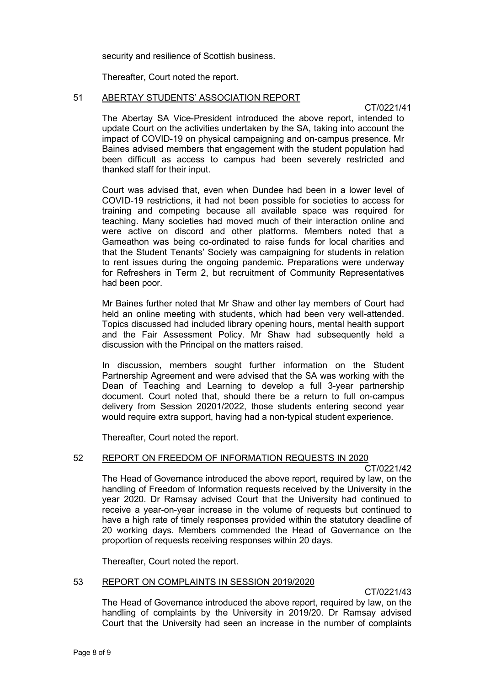security and resilience of Scottish business.

Thereafter, Court noted the report.

## 51 ABERTAY STUDENTS' ASSOCIATION REPORT

CT/0221/41

The Abertay SA Vice-President introduced the above report, intended to update Court on the activities undertaken by the SA, taking into account the impact of COVID-19 on physical campaigning and on-campus presence. Mr Baines advised members that engagement with the student population had been difficult as access to campus had been severely restricted and thanked staff for their input.

Court was advised that, even when Dundee had been in a lower level of COVID-19 restrictions, it had not been possible for societies to access for training and competing because all available space was required for teaching. Many societies had moved much of their interaction online and were active on discord and other platforms. Members noted that a Gameathon was being co-ordinated to raise funds for local charities and that the Student Tenants' Society was campaigning for students in relation to rent issues during the ongoing pandemic. Preparations were underway for Refreshers in Term 2, but recruitment of Community Representatives had been poor.

Mr Baines further noted that Mr Shaw and other lay members of Court had held an online meeting with students, which had been very well-attended. Topics discussed had included library opening hours, mental health support and the Fair Assessment Policy. Mr Shaw had subsequently held a discussion with the Principal on the matters raised.

In discussion, members sought further information on the Student Partnership Agreement and were advised that the SA was working with the Dean of Teaching and Learning to develop a full 3-year partnership document. Court noted that, should there be a return to full on-campus delivery from Session 20201/2022, those students entering second year would require extra support, having had a non-typical student experience.

Thereafter, Court noted the report.

# 52 REPORT ON FREEDOM OF INFORMATION REQUESTS IN 2020

CT/0221/42

The Head of Governance introduced the above report, required by law, on the handling of Freedom of Information requests received by the University in the year 2020. Dr Ramsay advised Court that the University had continued to receive a year-on-year increase in the volume of requests but continued to have a high rate of timely responses provided within the statutory deadline of 20 working days. Members commended the Head of Governance on the proportion of requests receiving responses within 20 days.

Thereafter, Court noted the report.

## 53 REPORT ON COMPLAINTS IN SESSION 2019/2020

CT/0221/43

The Head of Governance introduced the above report, required by law, on the handling of complaints by the University in 2019/20. Dr Ramsay advised Court that the University had seen an increase in the number of complaints